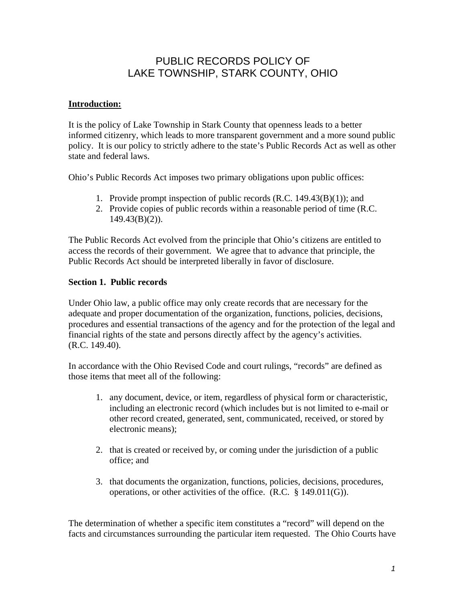# PUBLIC RECORDS POLICY OF LAKE TOWNSHIP, STARK COUNTY, OHIO

## **Introduction:**

It is the policy of Lake Township in Stark County that openness leads to a better informed citizenry, which leads to more transparent government and a more sound public policy. It is our policy to strictly adhere to the state's Public Records Act as well as other state and federal laws.

Ohio's Public Records Act imposes two primary obligations upon public offices:

- 1. Provide prompt inspection of public records (R.C. 149.43(B)(1)); and
- 2. Provide copies of public records within a reasonable period of time (R.C.  $149.43(B)(2)$ ).

The Public Records Act evolved from the principle that Ohio's citizens are entitled to access the records of their government. We agree that to advance that principle, the Public Records Act should be interpreted liberally in favor of disclosure.

## **Section 1. Public records**

Under Ohio law, a public office may only create records that are necessary for the adequate and proper documentation of the organization, functions, policies, decisions, procedures and essential transactions of the agency and for the protection of the legal and financial rights of the state and persons directly affect by the agency's activities. (R.C. 149.40).

In accordance with the Ohio Revised Code and court rulings, "records" are defined as those items that meet all of the following:

- 1. any document, device, or item, regardless of physical form or characteristic, including an electronic record (which includes but is not limited to e-mail or other record created, generated, sent, communicated, received, or stored by electronic means);
- 2. that is created or received by, or coming under the jurisdiction of a public office; and
- 3. that documents the organization, functions, policies, decisions, procedures, operations, or other activities of the office. (R.C. § 149.011(G)).

The determination of whether a specific item constitutes a "record" will depend on the facts and circumstances surrounding the particular item requested. The Ohio Courts have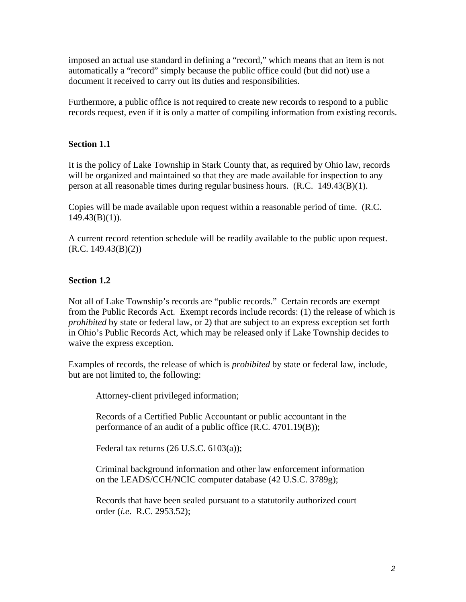imposed an actual use standard in defining a "record," which means that an item is not automatically a "record" simply because the public office could (but did not) use a document it received to carry out its duties and responsibilities.

Furthermore, a public office is not required to create new records to respond to a public records request, even if it is only a matter of compiling information from existing records.

## **Section 1.1**

It is the policy of Lake Township in Stark County that, as required by Ohio law, records will be organized and maintained so that they are made available for inspection to any person at all reasonable times during regular business hours. (R.C. 149.43(B)(1).

Copies will be made available upon request within a reasonable period of time. (R.C.  $149.43(B)(1)$ ).

A current record retention schedule will be readily available to the public upon request.  $(R.C. 149.43(B)(2))$ 

## **Section 1.2**

Not all of Lake Township's records are "public records." Certain records are exempt from the Public Records Act. Exempt records include records: (1) the release of which is *prohibited* by state or federal law, or 2) that are subject to an express exception set forth in Ohio's Public Records Act, which may be released only if Lake Township decides to waive the express exception.

Examples of records, the release of which is *prohibited* by state or federal law, include, but are not limited to, the following:

Attorney-client privileged information;

Records of a Certified Public Accountant or public accountant in the performance of an audit of a public office (R.C. 4701.19(B));

Federal tax returns (26 U.S.C. 6103(a));

Criminal background information and other law enforcement information on the LEADS/CCH/NCIC computer database (42 U.S.C. 3789g);

Records that have been sealed pursuant to a statutorily authorized court order (*i.e*. R.C. 2953.52);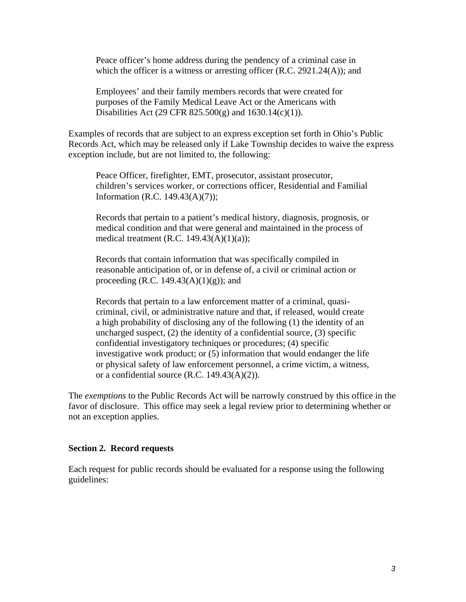Peace officer's home address during the pendency of a criminal case in which the officer is a witness or arresting officer  $(R.C. 2921.24(A))$ ; and

Employees' and their family members records that were created for purposes of the Family Medical Leave Act or the Americans with Disabilities Act (29 CFR  $825.500(g)$  and  $1630.14(c)(1)$ ).

Examples of records that are subject to an express exception set forth in Ohio's Public Records Act, which may be released only if Lake Township decides to waive the express exception include, but are not limited to, the following:

Peace Officer, firefighter, EMT, prosecutor, assistant prosecutor, children's services worker, or corrections officer, Residential and Familial Information (R.C. 149.43(A)(7));

Records that pertain to a patient's medical history, diagnosis, prognosis, or medical condition and that were general and maintained in the process of medical treatment (R.C. 149.43 $(A)(1)(a)$ );

Records that contain information that was specifically compiled in reasonable anticipation of, or in defense of, a civil or criminal action or proceeding (R.C. 149.43 $(A)(1)(g)$ ); and

Records that pertain to a law enforcement matter of a criminal, quasicriminal, civil, or administrative nature and that, if released, would create a high probability of disclosing any of the following (1) the identity of an uncharged suspect,  $(2)$  the identity of a confidential source,  $(3)$  specific confidential investigatory techniques or procedures; (4) specific investigative work product; or (5) information that would endanger the life or physical safety of law enforcement personnel, a crime victim, a witness, or a confidential source  $(R.C. 149.43(A)(2)).$ 

The *exemptions* to the Public Records Act will be narrowly construed by this office in the favor of disclosure. This office may seek a legal review prior to determining whether or not an exception applies.

#### **Section 2. Record requests**

Each request for public records should be evaluated for a response using the following guidelines: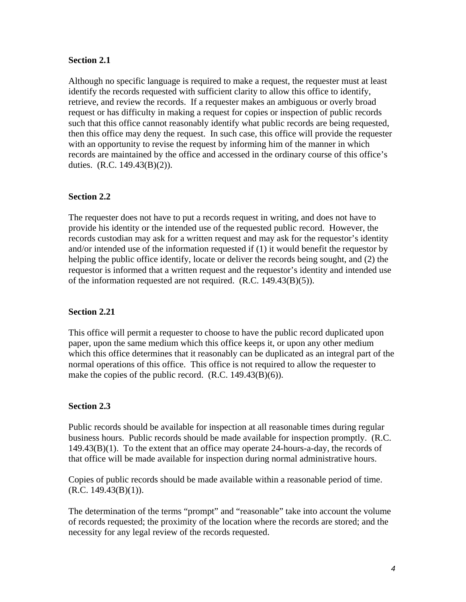### **Section 2.1**

Although no specific language is required to make a request, the requester must at least identify the records requested with sufficient clarity to allow this office to identify, retrieve, and review the records. If a requester makes an ambiguous or overly broad request or has difficulty in making a request for copies or inspection of public records such that this office cannot reasonably identify what public records are being requested, then this office may deny the request. In such case, this office will provide the requester with an opportunity to revise the request by informing him of the manner in which records are maintained by the office and accessed in the ordinary course of this office's duties. (R.C. 149.43(B)(2)).

### **Section 2.2**

The requester does not have to put a records request in writing, and does not have to provide his identity or the intended use of the requested public record. However, the records custodian may ask for a written request and may ask for the requestor's identity and/or intended use of the information requested if (1) it would benefit the requestor by helping the public office identify, locate or deliver the records being sought, and (2) the requestor is informed that a written request and the requestor's identity and intended use of the information requested are not required. (R.C. 149.43(B)(5)).

### **Section 2.21**

This office will permit a requester to choose to have the public record duplicated upon paper, upon the same medium which this office keeps it, or upon any other medium which this office determines that it reasonably can be duplicated as an integral part of the normal operations of this office. This office is not required to allow the requester to make the copies of the public record. (R.C. 149.43(B)(6)).

### **Section 2.3**

Public records should be available for inspection at all reasonable times during regular business hours. Public records should be made available for inspection promptly. (R.C. 149.43(B)(1). To the extent that an office may operate 24-hours-a-day, the records of that office will be made available for inspection during normal administrative hours.

Copies of public records should be made available within a reasonable period of time.  $(R.C. 149.43(B)(1)).$ 

The determination of the terms "prompt" and "reasonable" take into account the volume of records requested; the proximity of the location where the records are stored; and the necessity for any legal review of the records requested.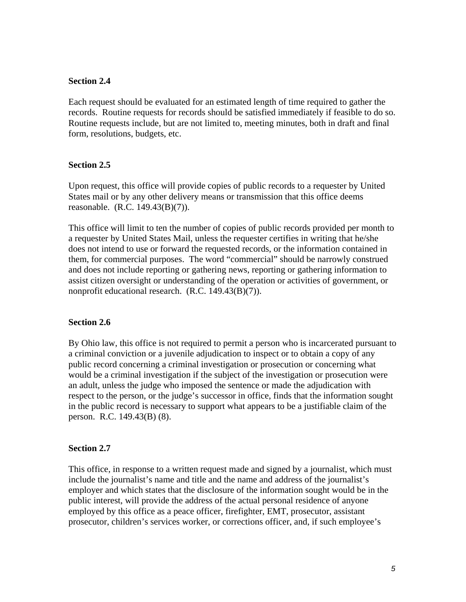#### **Section 2.4**

Each request should be evaluated for an estimated length of time required to gather the records. Routine requests for records should be satisfied immediately if feasible to do so. Routine requests include, but are not limited to, meeting minutes, both in draft and final form, resolutions, budgets, etc.

#### **Section 2.5**

Upon request, this office will provide copies of public records to a requester by United States mail or by any other delivery means or transmission that this office deems reasonable. (R.C. 149.43(B)(7)).

This office will limit to ten the number of copies of public records provided per month to a requester by United States Mail, unless the requester certifies in writing that he/she does not intend to use or forward the requested records, or the information contained in them, for commercial purposes. The word "commercial" should be narrowly construed and does not include reporting or gathering news, reporting or gathering information to assist citizen oversight or understanding of the operation or activities of government, or nonprofit educational research. (R.C. 149.43(B)(7)).

#### **Section 2.6**

By Ohio law, this office is not required to permit a person who is incarcerated pursuant to a criminal conviction or a juvenile adjudication to inspect or to obtain a copy of any public record concerning a criminal investigation or prosecution or concerning what would be a criminal investigation if the subject of the investigation or prosecution were an adult, unless the judge who imposed the sentence or made the adjudication with respect to the person, or the judge's successor in office, finds that the information sought in the public record is necessary to support what appears to be a justifiable claim of the person. R.C. 149.43(B) (8).

#### **Section 2.7**

This office, in response to a written request made and signed by a journalist, which must include the journalist's name and title and the name and address of the journalist's employer and which states that the disclosure of the information sought would be in the public interest, will provide the address of the actual personal residence of anyone employed by this office as a peace officer, firefighter, EMT, prosecutor, assistant prosecutor, children's services worker, or corrections officer, and, if such employee's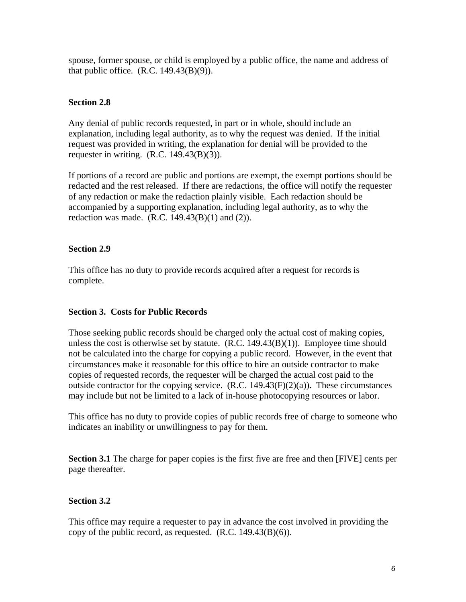spouse, former spouse, or child is employed by a public office, the name and address of that public office.  $(R.C. 149.43(B)(9))$ .

## **Section 2.8**

Any denial of public records requested, in part or in whole, should include an explanation, including legal authority, as to why the request was denied. If the initial request was provided in writing, the explanation for denial will be provided to the requester in writing.  $(R.C. 149.43(B)(3))$ .

If portions of a record are public and portions are exempt, the exempt portions should be redacted and the rest released. If there are redactions, the office will notify the requester of any redaction or make the redaction plainly visible. Each redaction should be accompanied by a supporting explanation, including legal authority, as to why the redaction was made.  $(R.C. 149.43(B)(1)$  and  $(2)$ ).

## **Section 2.9**

This office has no duty to provide records acquired after a request for records is complete.

## **Section 3. Costs for Public Records**

Those seeking public records should be charged only the actual cost of making copies, unless the cost is otherwise set by statute. (R.C. 149.43(B)(1)). Employee time should not be calculated into the charge for copying a public record. However, in the event that circumstances make it reasonable for this office to hire an outside contractor to make copies of requested records, the requester will be charged the actual cost paid to the outside contractor for the copying service.  $(R.C. 149.43(F)(2)(a))$ . These circumstances may include but not be limited to a lack of in-house photocopying resources or labor.

This office has no duty to provide copies of public records free of charge to someone who indicates an inability or unwillingness to pay for them.

**Section 3.1** The charge for paper copies is the first five are free and then [FIVE] cents per page thereafter.

## **Section 3.2**

This office may require a requester to pay in advance the cost involved in providing the copy of the public record, as requested.  $(R.C. 149.43(B)(6))$ .